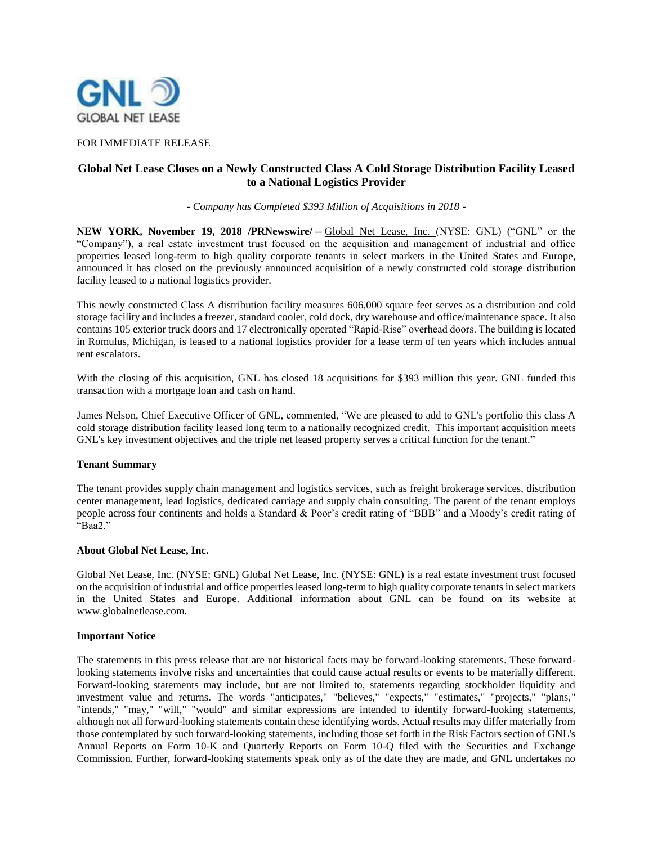

## FOR IMMEDIATE RELEASE

# **Global Net Lease Closes on a Newly Constructed Class A Cold Storage Distribution Facility Leased to a National Logistics Provider**

*- Company has Completed \$393 Million of Acquisitions in 2018 -*

NEW YORK, November 19, 2018 /PRNewswire/-- Global Net Lease, Inc. (NYSE: GNL) ("GNL" or the "Company"), a real estate investment trust focused on the acquisition and management of industrial and office properties leased long-term to high quality corporate tenants in select markets in the United States and Europe, announced it has closed on the previously announced acquisition of a newly constructed cold storage distribution facility leased to a national logistics provider.

This newly constructed Class A distribution facility measures 606,000 square feet serves as a distribution and cold storage facility and includes a freezer, standard cooler, cold dock, dry warehouse and office/maintenance space. It also contains 105 exterior truck doors and 17 electronically operated "Rapid-Rise" overhead doors. The building is located in Romulus, Michigan, is leased to a national logistics provider for a lease term of ten years which includes annual rent escalators.

With the closing of this acquisition, GNL has closed 18 acquisitions for \$393 million this year. GNL funded this transaction with a mortgage loan and cash on hand.

James Nelson, Chief Executive Officer of GNL, commented, "We are pleased to add to GNL's portfolio this class A cold storage distribution facility leased long term to a nationally recognized credit. This important acquisition meets GNL's key investment objectives and the triple net leased property serves a critical function for the tenant."

### **Tenant Summary**

The tenant provides supply chain management and logistics services, such as freight brokerage services, distribution center management, lead logistics, dedicated carriage and supply chain consulting. The parent of the tenant employs people across four continents and holds a Standard & Poor's credit rating of "BBB" and a Moody's credit rating of "Baa2."

### **About Global Net Lease, Inc.**

Global Net Lease, Inc. (NYSE: GNL) Global Net Lease, Inc. (NYSE: GNL) is a real estate investment trust focused on the acquisition of industrial and office properties leased long-term to high quality corporate tenants in select markets in the United States and Europe. Additional information about GNL can be found on its website at www.globalnetlease.com.

### **Important Notice**

The statements in this press release that are not historical facts may be forward-looking statements. These forwardlooking statements involve risks and uncertainties that could cause actual results or events to be materially different. Forward-looking statements may include, but are not limited to, statements regarding stockholder liquidity and investment value and returns. The words "anticipates," "believes," "expects," "estimates," "projects," "plans," "intends," "may," "will," "would" and similar expressions are intended to identify forward-looking statements, although not all forward-looking statements contain these identifying words. Actual results may differ materially from those contemplated by such forward-looking statements, including those set forth in the Risk Factors section of GNL's Annual Reports on Form 10-K and Quarterly Reports on Form 10-Q filed with the Securities and Exchange Commission. Further, forward-looking statements speak only as of the date they are made, and GNL undertakes no